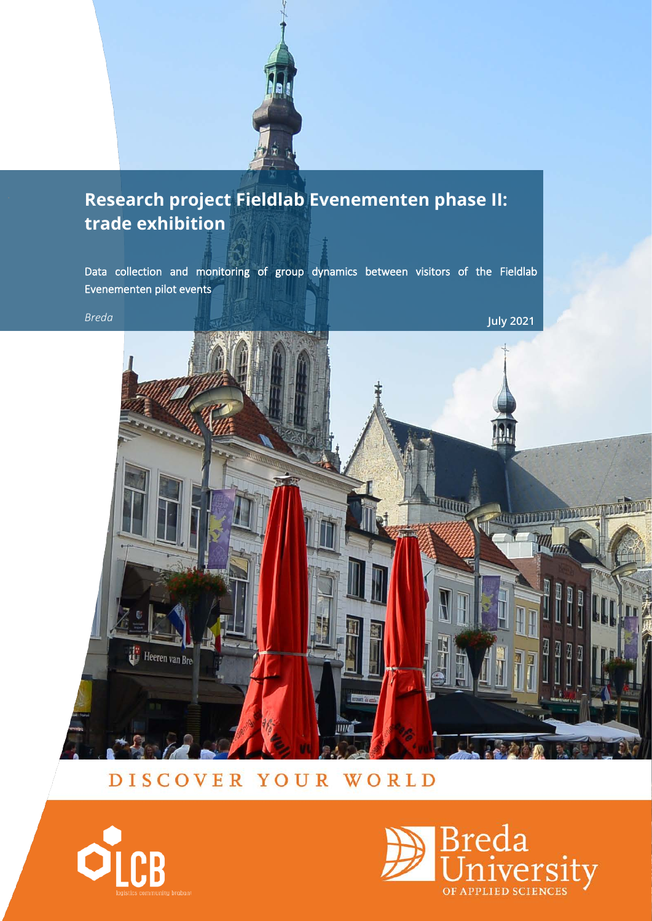

# . **Research project Fieldlab Evenementen phase II: trade exhibition**

Data collection and monitoring of group dynamics between visitors of the Fieldlab Evenementen pilot events



# DISCOVER YOUR WORLD



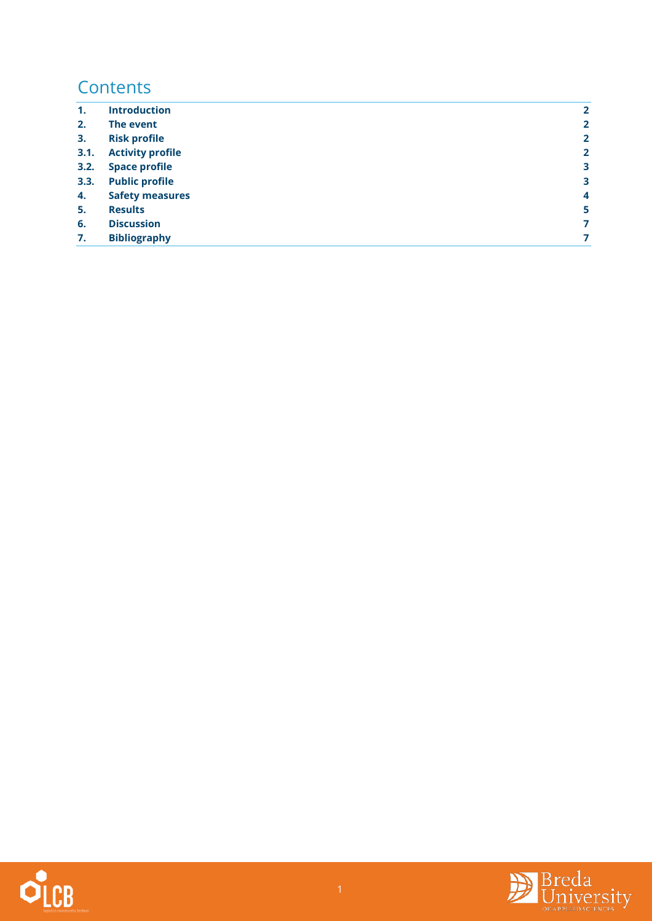# **Contents**

| $\mathbf{1}$ . | <b>Introduction</b>     | $\overline{2}$ |
|----------------|-------------------------|----------------|
| 2.             | The event               | $\overline{2}$ |
| 3.             | <b>Risk profile</b>     | $\overline{2}$ |
| 3.1.           | <b>Activity profile</b> | $\overline{2}$ |
| 3.2.           | <b>Space profile</b>    | 3              |
| 3.3.           | <b>Public profile</b>   | 3              |
| 4.             | <b>Safety measures</b>  | 4              |
| 5.             | <b>Results</b>          | 5              |
| 6.             | <b>Discussion</b>       | $\overline{7}$ |
| 7.             | <b>Bibliography</b>     | 7              |



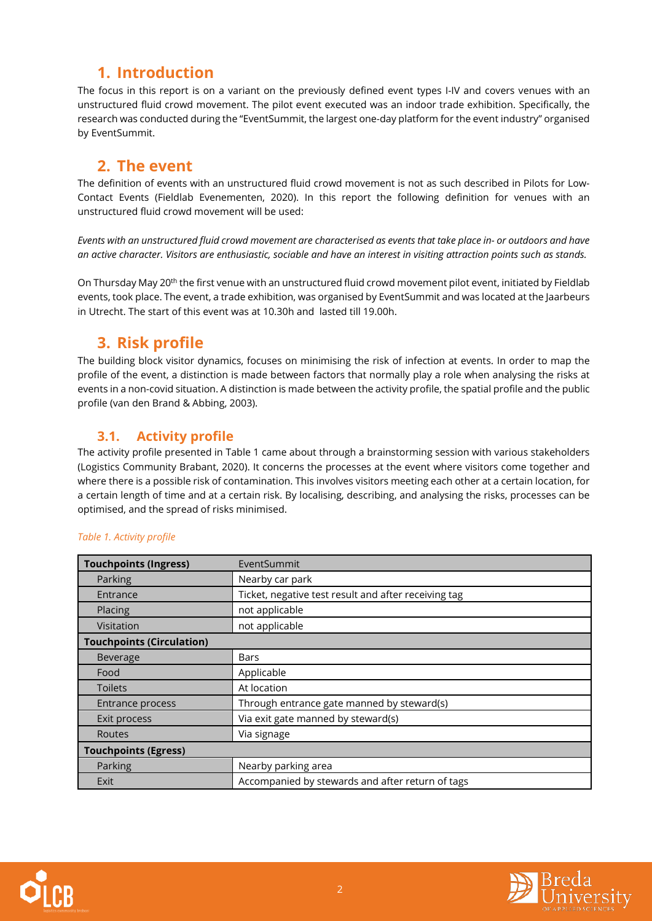## <span id="page-2-0"></span>**1. Introduction**

The focus in this report is on a variant on the previously defined event types I-IV and covers venues with an unstructured fluid crowd movement. The pilot event executed was an indoor trade exhibition. Specifically, the research was conducted during the "EventSummit, the largest one-day platform for the event industry" organised by EventSummit.

### **2. The event**

<span id="page-2-1"></span>The definition of events with an unstructured fluid crowd movement is not as such described in Pilots for Low-Contact Events (Fieldlab Evenementen, 2020). In this report the following definition for venues with an unstructured fluid crowd movement will be used:

*Events with an unstructured fluid crowd movement are characterised as events that take place in- or outdoors and have an active character. Visitors are enthusiastic, sociable and have an interest in visiting attraction points such as stands.* 

On Thursday May 20<sup>th</sup> the first venue with an unstructured fluid crowd movement pilot event, initiated by Fieldlab events, took place. The event, a trade exhibition, was organised by EventSummit and was located at the Jaarbeurs in Utrecht. The start of this event was at 10.30h and lasted till 19.00h.

### <span id="page-2-2"></span>**3. Risk profile**

The building block visitor dynamics, focuses on minimising the risk of infection at events. In order to map the profile of the event, a distinction is made between factors that normally play a role when analysing the risks at events in a non-covid situation. A distinction is made between the activity profile, the spatial profile and the public profile (van den Brand & Abbing, 2003).

### <span id="page-2-3"></span>**3.1. Activity profile**

The activity profile presented in [Table 1](#page-2-4) came about through a brainstorming session with various stakeholders (Logistics Community Brabant, 2020). It concerns the processes at the event where visitors come together and where there is a possible risk of contamination. This involves visitors meeting each other at a certain location, for a certain length of time and at a certain risk. By localising, describing, and analysing the risks, processes can be optimised, and the spread of risks minimised.

| <b>Touchpoints (Ingress)</b>     | EventSummit                                          |  |  |
|----------------------------------|------------------------------------------------------|--|--|
| Parking                          | Nearby car park                                      |  |  |
| Entrance                         | Ticket, negative test result and after receiving tag |  |  |
| Placing                          | not applicable                                       |  |  |
| Visitation                       | not applicable                                       |  |  |
| <b>Touchpoints (Circulation)</b> |                                                      |  |  |
| Beverage                         | Bars                                                 |  |  |
| Food                             | Applicable                                           |  |  |
| <b>Toilets</b>                   | At location                                          |  |  |
| Entrance process                 | Through entrance gate manned by steward(s)           |  |  |
| Exit process                     | Via exit gate manned by steward(s)                   |  |  |
| <b>Routes</b>                    | Via signage                                          |  |  |
| <b>Touchpoints (Egress)</b>      |                                                      |  |  |
| Parking                          | Nearby parking area                                  |  |  |
| Exit                             | Accompanied by stewards and after return of tags     |  |  |

#### <span id="page-2-4"></span>*Table 1. Activity profile*



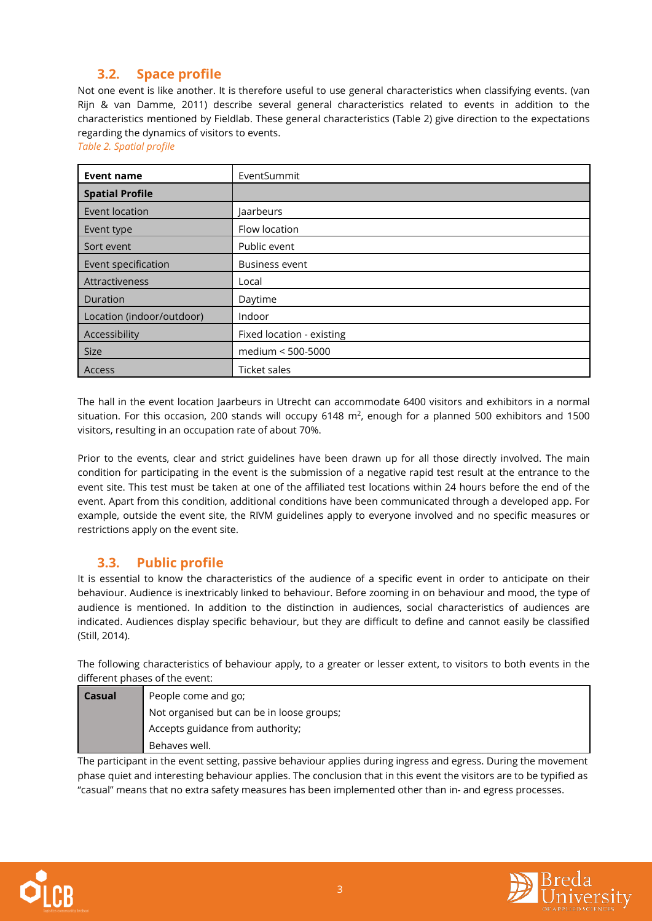#### <span id="page-3-0"></span>**3.2. Space profile**

Not one event is like another. It is therefore useful to use general characteristics when classifying events. (van Rijn & van Damme, 2011) describe several general characteristics related to events in addition to the characteristics mentioned by Fieldlab. These general characteristics [\(Table 2\)](#page-3-2) give direction to the expectations regarding the dynamics of visitors to events.

<span id="page-3-2"></span>*Table 2. Spatial profile*

| Event name                | EventSummit               |
|---------------------------|---------------------------|
| <b>Spatial Profile</b>    |                           |
| Event location            | Jaarbeurs                 |
| Event type                | Flow location             |
| Sort event                | Public event              |
| Event specification       | <b>Business event</b>     |
| Attractiveness            | Local                     |
| Duration                  | Daytime                   |
| Location (indoor/outdoor) | Indoor                    |
| Accessibility             | Fixed location - existing |
| <b>Size</b>               | medium < 500-5000         |
| Access                    | Ticket sales              |

The hall in the event location Jaarbeurs in Utrecht can accommodate 6400 visitors and exhibitors in a normal situation. For this occasion, 200 stands will occupy  $6148$  m<sup>2</sup>, enough for a planned 500 exhibitors and 1500 visitors, resulting in an occupation rate of about 70%.

Prior to the events, clear and strict guidelines have been drawn up for all those directly involved. The main condition for participating in the event is the submission of a negative rapid test result at the entrance to the event site. This test must be taken at one of the affiliated test locations within 24 hours before the end of the event. Apart from this condition, additional conditions have been communicated through a developed app. For example, outside the event site, the RIVM guidelines apply to everyone involved and no specific measures or restrictions apply on the event site.

#### <span id="page-3-1"></span>**3.3. Public profile**

It is essential to know the characteristics of the audience of a specific event in order to anticipate on their behaviour. Audience is inextricably linked to behaviour. Before zooming in on behaviour and mood, the type of audience is mentioned. In addition to the distinction in audiences, social characteristics of audiences are indicated. Audiences display specific behaviour, but they are difficult to define and cannot easily be classified (Still, 2014).

The following characteristics of behaviour apply, to a greater or lesser extent, to visitors to both events in the different phases of the event:

| <b>Casual</b> | People come and go;                       |  |
|---------------|-------------------------------------------|--|
|               | Not organised but can be in loose groups; |  |
|               | Accepts guidance from authority;          |  |
|               | Behaves well.                             |  |

The participant in the event setting, passive behaviour applies during ingress and egress. During the movement phase quiet and interesting behaviour applies. The conclusion that in this event the visitors are to be typified as "casual" means that no extra safety measures has been implemented other than in- and egress processes.



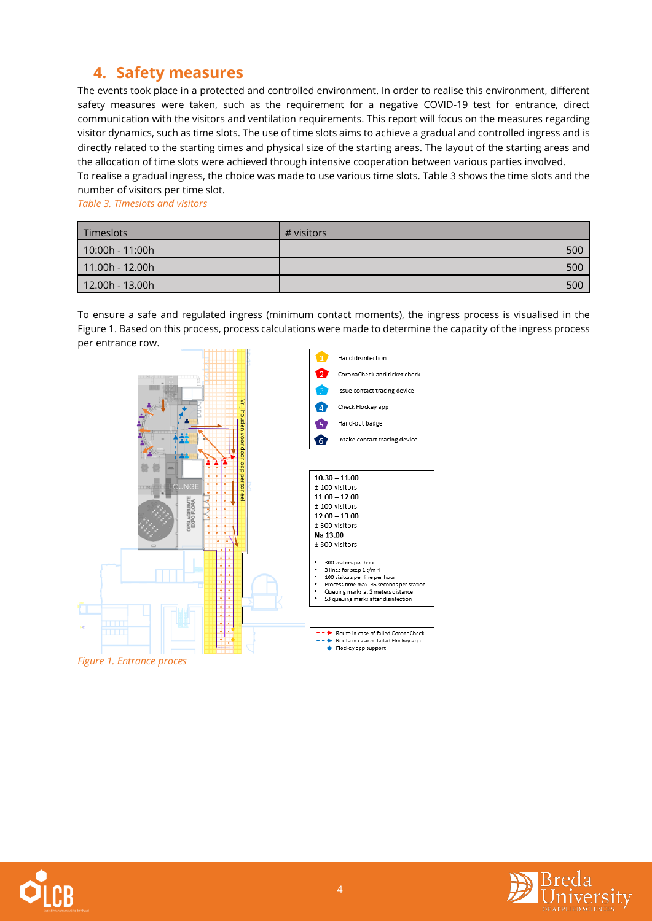## <span id="page-4-0"></span>**4. Safety measures**

The events took place in a protected and controlled environment. In order to realise this environment, different safety measures were taken, such as the requirement for a negative COVID-19 test for entrance, direct communication with the visitors and ventilation requirements. This report will focus on the measures regarding visitor dynamics, such as time slots. The use of time slots aims to achieve a gradual and controlled ingress and is directly related to the starting times and physical size of the starting areas. The layout of the starting areas and the allocation of time slots were achieved through intensive cooperation between various parties involved. To realise a gradual ingress, the choice was made to use various time slots. [Table 3](#page-4-1) shows the time slots and the

number of visitors per time slot.

<span id="page-4-1"></span>*Table 3. Timeslots and visitors*

| <b>Timeslots</b> | # visitors |
|------------------|------------|
| 10:00h - 11:00h  | 500        |
| 11.00h - 12.00h  | 500        |
| 12.00h - 13.00h  | 500        |

To ensure a safe and regulated ingress (minimum contact moments), the ingress process is visualised in the [Figure 1.](#page-4-2) Based on this process, process calculations were made to determine the capacity of the ingress process per entrance row.



<span id="page-4-2"></span>*Figure 1. Entrance proces*

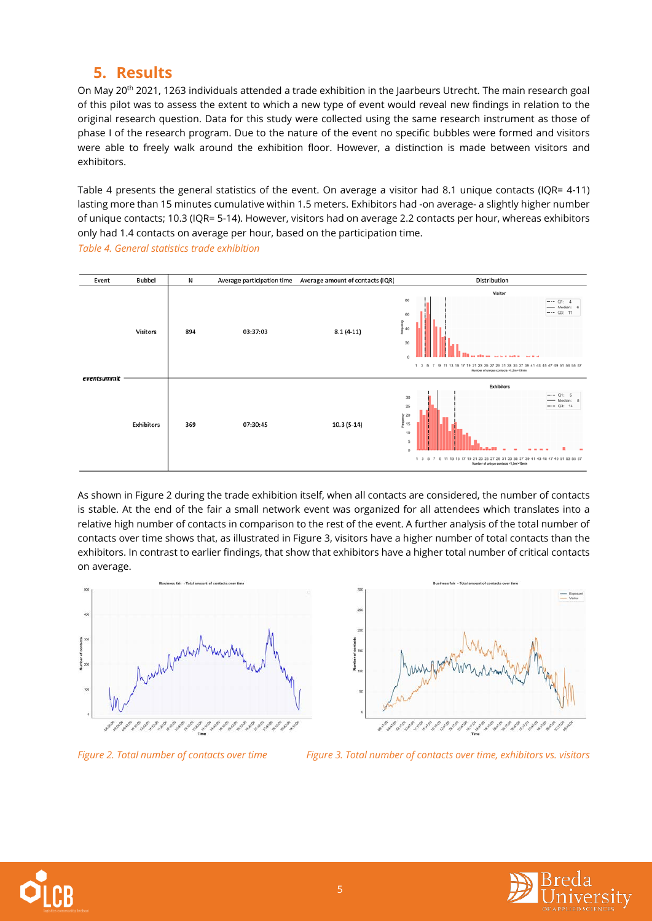### <span id="page-5-0"></span>**5. Results**

On May 20<sup>th</sup> 2021, 1263 individuals attended a trade exhibition in the Jaarbeurs Utrecht. The main research goal of this pilot was to assess the extent to which a new type of event would reveal new findings in relation to the original research question. Data for this study were collected using the same research instrument as those of phase I of the research program. Due to the nature of the event no specific bubbles were formed and visitors were able to freely walk around the exhibition floor. However, a distinction is made between visitors and exhibitors.

[Table 4](#page-5-1) presents the general statistics of the event. On average a visitor had 8.1 unique contacts (IQR= 4-11) lasting more than 15 minutes cumulative within 1.5 meters. Exhibitors had -on average- a slightly higher number of unique contacts; 10.3 (IQR= 5-14). However, visitors had on average 2.2 contacts per hour, whereas exhibitors only had 1.4 contacts on average per hour, based on the participation time.



<span id="page-5-1"></span>*Table 4. General statistics trade exhibition*

As shown i[n Figure 2](#page-5-2) during the trade exhibition itself, when all contacts are considered, the number of contacts is stable. At the end of the fair a small network event was organized for all attendees which translates into a relative high number of contacts in comparison to the rest of the event. A further analysis of the total number of contacts over time shows that, as illustrated i[n Figure 3,](#page-5-3) visitors have a higher number of total contacts than the exhibitors. In contrast to earlier findings, that show that exhibitors have a higher total number of critical contacts on average.





<span id="page-5-3"></span>

<span id="page-5-2"></span>



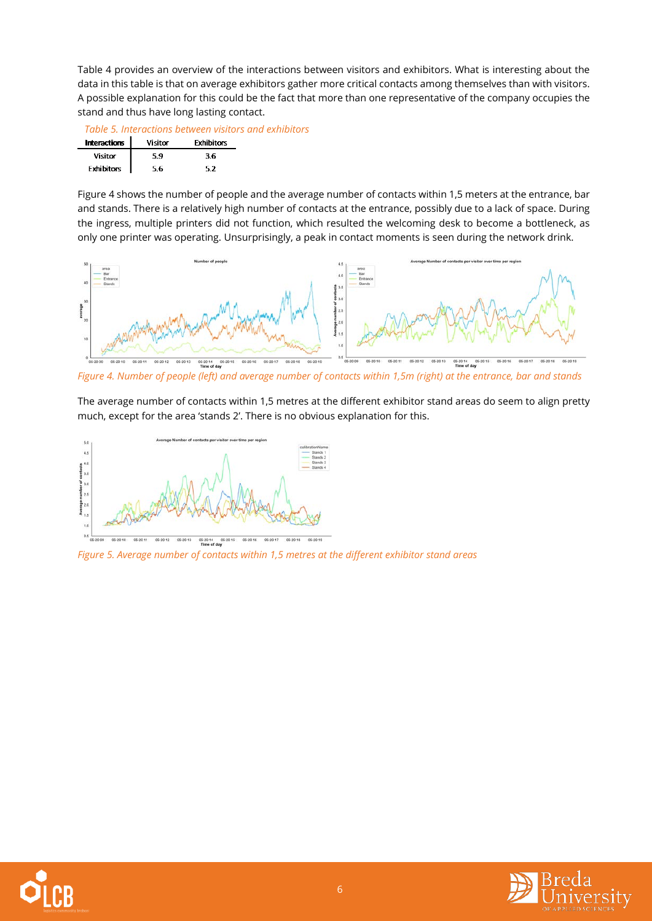[Table 4](#page-6-0) provides an overview of the interactions between visitors and exhibitors. What is interesting about the data in this table is that on average exhibitors gather more critical contacts among themselves than with visitors. A possible explanation for this could be the fact that more than one representative of the company occupies the stand and thus have long lasting contact.

<span id="page-6-0"></span>

| Table 5. Interactions between visitors and exhibitors |  |  |
|-------------------------------------------------------|--|--|
|                                                       |  |  |

| <b>Interactions</b> | Visitor | <b>Exhibitors</b> |
|---------------------|---------|-------------------|
| Visitor             | 59      | 36                |
| <b>Exhibitors</b>   | 56      | 52                |

[Figure 4](#page-6-1) shows the number of people and the average number of contacts within 1,5 meters at the entrance, bar and stands. There is a relatively high number of contacts at the entrance, possibly due to a lack of space. During the ingress, multiple printers did not function, which resulted the welcoming desk to become a bottleneck, as only one printer was operating. Unsurprisingly, a peak in contact moments is seen during the network drink.



<span id="page-6-1"></span>*Figure 4. Number of people (left) and average number of contacts within 1,5m (right) at the entrance, bar and stands*

The average number of contacts within 1,5 metres at the different exhibitor stand areas do seem to align pretty much, except for the area 'stands 2'. There is no obvious explanation for this.



*Figure 5. Average number of contacts within 1,5 metres at the different exhibitor stand areas*